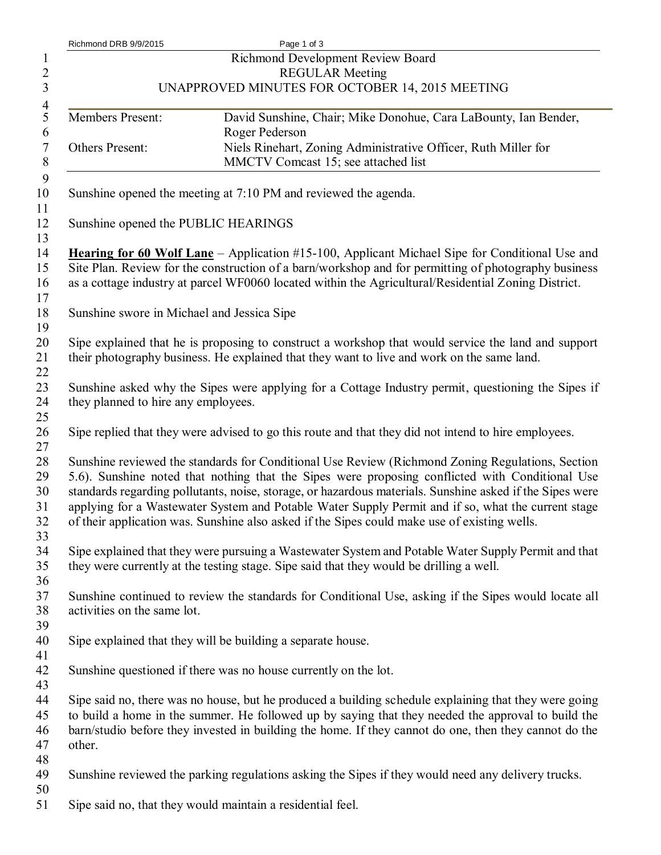| Richmond DRB 9/9/2015               | Page 1 of 3                                                                                                                                                                                        |
|-------------------------------------|----------------------------------------------------------------------------------------------------------------------------------------------------------------------------------------------------|
|                                     | Richmond Development Review Board                                                                                                                                                                  |
|                                     | <b>REGULAR Meeting</b>                                                                                                                                                                             |
|                                     | UNAPPROVED MINUTES FOR OCTOBER 14, 2015 MEETING                                                                                                                                                    |
| Members Present:                    | David Sunshine, Chair; Mike Donohue, Cara LaBounty, Ian Bender,                                                                                                                                    |
|                                     | Roger Pederson                                                                                                                                                                                     |
| Others Present:                     | Niels Rinehart, Zoning Administrative Officer, Ruth Miller for                                                                                                                                     |
|                                     | MMCTV Comcast 15; see attached list                                                                                                                                                                |
|                                     | Sunshine opened the meeting at 7:10 PM and reviewed the agenda.                                                                                                                                    |
|                                     | Sunshine opened the PUBLIC HEARINGS                                                                                                                                                                |
|                                     | <b>Hearing for 60 Wolf Lane</b> – Application #15-100, Applicant Michael Sipe for Conditional Use and                                                                                              |
|                                     | Site Plan. Review for the construction of a barn/workshop and for permitting of photography business                                                                                               |
|                                     | as a cottage industry at parcel WF0060 located within the Agricultural/Residential Zoning District.                                                                                                |
|                                     | Sunshine swore in Michael and Jessica Sipe                                                                                                                                                         |
|                                     | Sipe explained that he is proposing to construct a workshop that would service the land and support                                                                                                |
|                                     | their photography business. He explained that they want to live and work on the same land.                                                                                                         |
|                                     |                                                                                                                                                                                                    |
|                                     | Sunshine asked why the Sipes were applying for a Cottage Industry permit, questioning the Sipes if                                                                                                 |
| they planned to hire any employees. |                                                                                                                                                                                                    |
|                                     |                                                                                                                                                                                                    |
|                                     | Sipe replied that they were advised to go this route and that they did not intend to hire employees.                                                                                               |
|                                     |                                                                                                                                                                                                    |
|                                     | Sunshine reviewed the standards for Conditional Use Review (Richmond Zoning Regulations, Section                                                                                                   |
|                                     | 5.6). Sunshine noted that nothing that the Sipes were proposing conflicted with Conditional Use                                                                                                    |
|                                     | standards regarding pollutants, noise, storage, or hazardous materials. Sunshine asked if the Sipes were                                                                                           |
|                                     | applying for a Wastewater System and Potable Water Supply Permit and if so, what the current stage<br>of their application was. Sunshine also asked if the Sipes could make use of existing wells. |
|                                     |                                                                                                                                                                                                    |
|                                     | Sipe explained that they were pursuing a Wastewater System and Potable Water Supply Permit and that                                                                                                |
|                                     | they were currently at the testing stage. Sipe said that they would be drilling a well.                                                                                                            |
|                                     |                                                                                                                                                                                                    |
|                                     | Sunshine continued to review the standards for Conditional Use, asking if the Sipes would locate all                                                                                               |
| activities on the same lot.         |                                                                                                                                                                                                    |
|                                     |                                                                                                                                                                                                    |
|                                     | Sipe explained that they will be building a separate house.                                                                                                                                        |
|                                     |                                                                                                                                                                                                    |
|                                     | Sunshine questioned if there was no house currently on the lot.                                                                                                                                    |
|                                     |                                                                                                                                                                                                    |
|                                     | Sipe said no, there was no house, but he produced a building schedule explaining that they were going                                                                                              |
|                                     | to build a home in the summer. He followed up by saying that they needed the approval to build the                                                                                                 |
| other.                              | barn/studio before they invested in building the home. If they cannot do one, then they cannot do the                                                                                              |
|                                     |                                                                                                                                                                                                    |
|                                     | Sunshine reviewed the parking regulations asking the Sipes if they would need any delivery trucks.                                                                                                 |
|                                     |                                                                                                                                                                                                    |
|                                     | Sipe said no, that they would maintain a residential feel.                                                                                                                                         |
|                                     |                                                                                                                                                                                                    |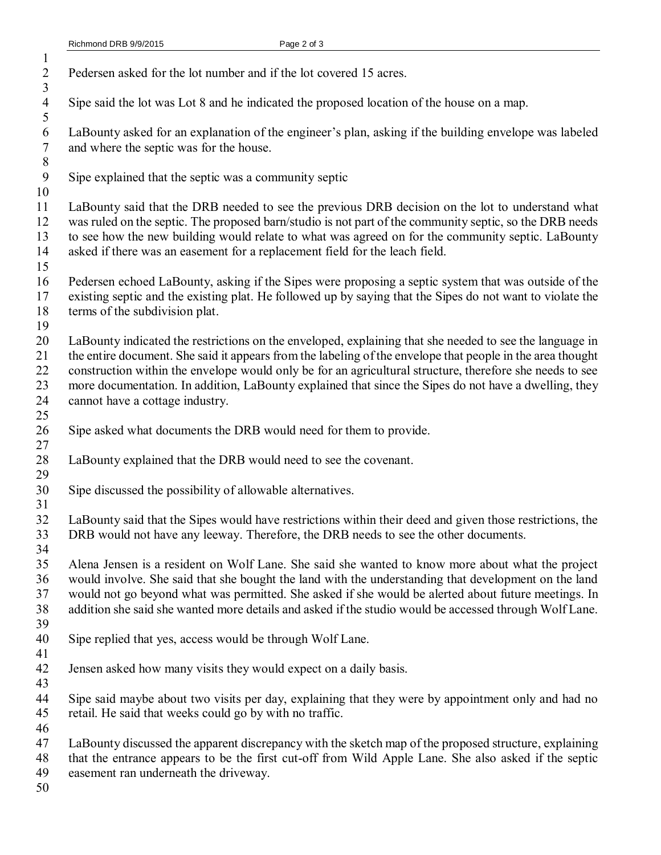| $\mathbf{1}$<br>$\overline{2}$<br>$\overline{\mathbf{3}}$ | Pedersen asked for the lot number and if the lot covered 15 acres.                                                                                                                                                                                                                                                                                                                                                                                                            |
|-----------------------------------------------------------|-------------------------------------------------------------------------------------------------------------------------------------------------------------------------------------------------------------------------------------------------------------------------------------------------------------------------------------------------------------------------------------------------------------------------------------------------------------------------------|
| $\overline{4}$<br>5                                       | Sipe said the lot was Lot 8 and he indicated the proposed location of the house on a map.                                                                                                                                                                                                                                                                                                                                                                                     |
| $\sqrt{6}$<br>$\boldsymbol{7}$<br>$\,8\,$                 | LaBounty asked for an explanation of the engineer's plan, asking if the building envelope was labeled<br>and where the septic was for the house.                                                                                                                                                                                                                                                                                                                              |
| 9<br>10                                                   | Sipe explained that the septic was a community septic                                                                                                                                                                                                                                                                                                                                                                                                                         |
| 11<br>12<br>13<br>14<br>15                                | LaBounty said that the DRB needed to see the previous DRB decision on the lot to understand what<br>was ruled on the septic. The proposed barn/studio is not part of the community septic, so the DRB needs<br>to see how the new building would relate to what was agreed on for the community septic. LaBounty<br>asked if there was an easement for a replacement field for the leach field.                                                                               |
| 16<br>17<br>18<br>19                                      | Pedersen echoed LaBounty, asking if the Sipes were proposing a septic system that was outside of the<br>existing septic and the existing plat. He followed up by saying that the Sipes do not want to violate the<br>terms of the subdivision plat.                                                                                                                                                                                                                           |
| 20<br>21<br>22<br>23<br>24<br>25                          | LaBounty indicated the restrictions on the enveloped, explaining that she needed to see the language in<br>the entire document. She said it appears from the labeling of the envelope that people in the area thought<br>construction within the envelope would only be for an agricultural structure, therefore she needs to see<br>more documentation. In addition, LaBounty explained that since the Sipes do not have a dwelling, they<br>cannot have a cottage industry. |
| 26<br>27                                                  | Sipe asked what documents the DRB would need for them to provide.                                                                                                                                                                                                                                                                                                                                                                                                             |
| 28<br>29                                                  | LaBounty explained that the DRB would need to see the covenant.                                                                                                                                                                                                                                                                                                                                                                                                               |
| 30<br>31                                                  | Sipe discussed the possibility of allowable alternatives.                                                                                                                                                                                                                                                                                                                                                                                                                     |
| 32<br>33<br>34                                            | LaBounty said that the Sipes would have restrictions within their deed and given those restrictions, the<br>DRB would not have any leeway. Therefore, the DRB needs to see the other documents.                                                                                                                                                                                                                                                                               |
| 35<br>36<br>37<br>38<br>39                                | Alena Jensen is a resident on Wolf Lane. She said she wanted to know more about what the project<br>would involve. She said that she bought the land with the understanding that development on the land<br>would not go beyond what was permitted. She asked if she would be alerted about future meetings. In<br>addition she said she wanted more details and asked if the studio would be accessed through Wolf Lane.                                                     |
| 40<br>41                                                  | Sipe replied that yes, access would be through Wolf Lane.                                                                                                                                                                                                                                                                                                                                                                                                                     |
| 42<br>43                                                  | Jensen asked how many visits they would expect on a daily basis.                                                                                                                                                                                                                                                                                                                                                                                                              |
| 44<br>45<br>46                                            | Sipe said maybe about two visits per day, explaining that they were by appointment only and had no<br>retail. He said that weeks could go by with no traffic.                                                                                                                                                                                                                                                                                                                 |
| 47<br>48<br>49<br>50                                      | LaBounty discussed the apparent discrepancy with the sketch map of the proposed structure, explaining<br>that the entrance appears to be the first cut-off from Wild Apple Lane. She also asked if the septic<br>easement ran underneath the driveway.                                                                                                                                                                                                                        |